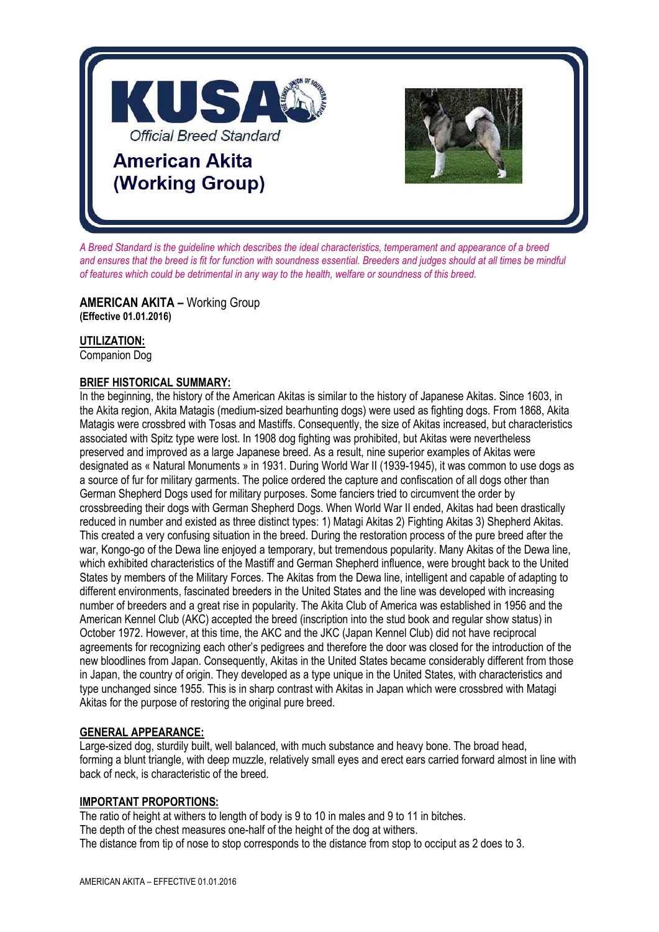

*A Breed Standard is the guideline which describes the ideal characteristics, temperament and appearance of a breed and ensures that the breed is fit for function with soundness essential. Breeders and judges should at all times be mindful of features which could be detrimental in any way to the health, welfare or soundness of this breed.*

**AMERICAN AKITA –** Working Group **(Effective 01.01.2016)**

## **UTILIZATION:**

Companion Dog

## **BRIEF HISTORICAL SUMMARY:**

In the beginning, the history of the American Akitas is similar to the history of Japanese Akitas. Since 1603, in the Akita region, Akita Matagis (medium-sized bearhunting dogs) were used as fighting dogs. From 1868, Akita Matagis were crossbred with Tosas and Mastiffs. Consequently, the size of Akitas increased, but characteristics associated with Spitz type were lost. In 1908 dog fighting was prohibited, but Akitas were nevertheless preserved and improved as a large Japanese breed. As a result, nine superior examples of Akitas were designated as « Natural Monuments » in 1931. During World War II (1939-1945), it was common to use dogs as a source of fur for military garments. The police ordered the capture and confiscation of all dogs other than German Shepherd Dogs used for military purposes. Some fanciers tried to circumvent the order by crossbreeding their dogs with German Shepherd Dogs. When World War II ended, Akitas had been drastically reduced in number and existed as three distinct types: 1) Matagi Akitas 2) Fighting Akitas 3) Shepherd Akitas. This created a very confusing situation in the breed. During the restoration process of the pure breed after the war, Kongo-go of the Dewa line enjoyed a temporary, but tremendous popularity. Many Akitas of the Dewa line, which exhibited characteristics of the Mastiff and German Shepherd influence, were brought back to the United States by members of the Military Forces. The Akitas from the Dewa line, intelligent and capable of adapting to different environments, fascinated breeders in the United States and the line was developed with increasing number of breeders and a great rise in popularity. The Akita Club of America was established in 1956 and the American Kennel Club (AKC) accepted the breed (inscription into the stud book and regular show status) in October 1972. However, at this time, the AKC and the JKC (Japan Kennel Club) did not have reciprocal agreements for recognizing each other's pedigrees and therefore the door was closed for the introduction of the new bloodlines from Japan. Consequently, Akitas in the United States became considerably different from those in Japan, the country of origin. They developed as a type unique in the United States, with characteristics and type unchanged since 1955. This is in sharp contrast with Akitas in Japan which were crossbred with Matagi Akitas for the purpose of restoring the original pure breed.

## **GENERAL APPEARANCE:**

Large-sized dog, sturdily built, well balanced, with much substance and heavy bone. The broad head, forming a blunt triangle, with deep muzzle, relatively small eyes and erect ears carried forward almost in line with back of neck, is characteristic of the breed.

#### **IMPORTANT PROPORTIONS:**

The ratio of height at withers to length of body is 9 to 10 in males and 9 to 11 in bitches. The depth of the chest measures one-half of the height of the dog at withers. The distance from tip of nose to stop corresponds to the distance from stop to occiput as 2 does to 3.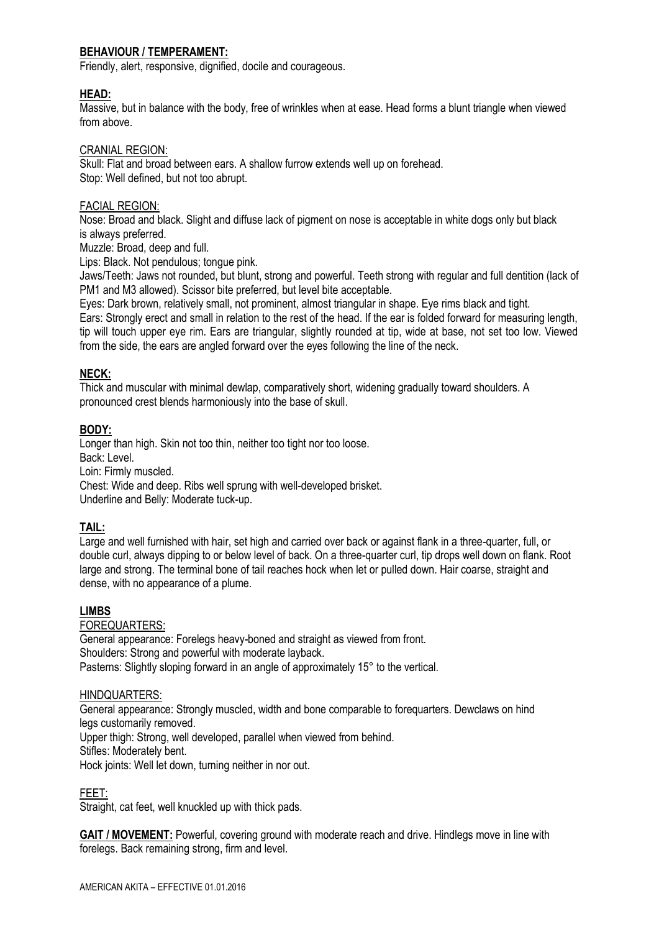## **BEHAVIOUR / TEMPERAMENT:**

Friendly, alert, responsive, dignified, docile and courageous.

#### **HEAD:**

Massive, but in balance with the body, free of wrinkles when at ease. Head forms a blunt triangle when viewed from above.

#### CRANIAL REGION:

Skull: Flat and broad between ears. A shallow furrow extends well up on forehead. Stop: Well defined, but not too abrupt.

#### FACIAL REGION:

Nose: Broad and black. Slight and diffuse lack of pigment on nose is acceptable in white dogs only but black is always preferred.

Muzzle: Broad, deep and full.

Lips: Black. Not pendulous; tongue pink.

Jaws/Teeth: Jaws not rounded, but blunt, strong and powerful. Teeth strong with regular and full dentition (lack of PM1 and M3 allowed). Scissor bite preferred, but level bite acceptable.

Eyes: Dark brown, relatively small, not prominent, almost triangular in shape. Eye rims black and tight.

Ears: Strongly erect and small in relation to the rest of the head. If the ear is folded forward for measuring length, tip will touch upper eye rim. Ears are triangular, slightly rounded at tip, wide at base, not set too low. Viewed from the side, the ears are angled forward over the eyes following the line of the neck.

### **NECK:**

Thick and muscular with minimal dewlap, comparatively short, widening gradually toward shoulders. A pronounced crest blends harmoniously into the base of skull.

#### **BODY:**

Longer than high. Skin not too thin, neither too tight nor too loose. Back: Level. Loin: Firmly muscled. Chest: Wide and deep. Ribs well sprung with well-developed brisket.

Underline and Belly: Moderate tuck-up.

#### **TAIL:**

Large and well furnished with hair, set high and carried over back or against flank in a three-quarter, full, or double curl, always dipping to or below level of back. On a three-quarter curl, tip drops well down on flank. Root large and strong. The terminal bone of tail reaches hock when let or pulled down. Hair coarse, straight and dense, with no appearance of a plume.

#### **LIMBS**

#### FOREQUARTERS:

General appearance: Forelegs heavy-boned and straight as viewed from front. Shoulders: Strong and powerful with moderate layback. Pasterns: Slightly sloping forward in an angle of approximately 15° to the vertical.

#### HINDQUARTERS:

General appearance: Strongly muscled, width and bone comparable to forequarters. Dewclaws on hind legs customarily removed.

Upper thigh: Strong, well developed, parallel when viewed from behind.

Stifles: Moderately bent.

Hock joints: Well let down, turning neither in nor out.

#### FEET:

Straight, cat feet, well knuckled up with thick pads.

**GAIT / MOVEMENT:** Powerful, covering ground with moderate reach and drive. Hindlegs move in line with forelegs. Back remaining strong, firm and level.